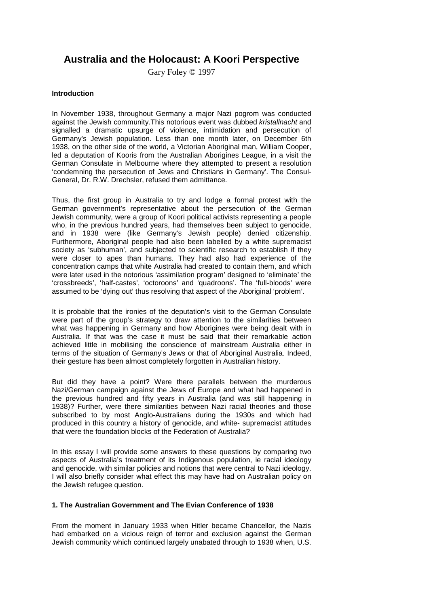# **Australia and the Holocaust: A Koori Perspective**

Gary Foley © 1997

# **Introduction**

In November 1938, throughout Germany a major Nazi pogrom was conducted against the Jewish community.This notorious event was dubbed *kristallnacht* and signalled a dramatic upsurge of violence, intimidation and persecution of Germany's Jewish population. Less than one month later, on December 6th 1938, on the other side of the world, a Victorian Aboriginal man, William Cooper, led a deputation of Kooris from the Australian Aborigines League, in a visit the German Consulate in Melbourne where they attempted to present a resolution 'condemning the persecution of Jews and Christians in Germany'. The Consul-General, Dr. R.W. Drechsler, refused them admittance.

Thus, the first group in Australia to try and lodge a formal protest with the German government's representative about the persecution of the German Jewish community, were a group of Koori political activists representing a people who, in the previous hundred years, had themselves been subject to genocide, and in 1938 were (like Germany's Jewish people) denied citizenship. Furthermore, Aboriginal people had also been labelled by a white supremacist society as 'subhuman', and subjected to scientific research to establish if they were closer to apes than humans. They had also had experience of the concentration camps that white Australia had created to contain them, and which were later used in the notorious 'assimilation program' designed to 'eliminate' the 'crossbreeds', 'half-castes', 'octoroons' and 'quadroons'. The 'full-bloods' were assumed to be 'dying out' thus resolving that aspect of the Aboriginal 'problem'.

It is probable that the ironies of the deputation's visit to the German Consulate were part of the group's strategy to draw attention to the similarities between what was happening in Germany and how Aborigines were being dealt with in Australia. If that was the case it must be said that their remarkable action achieved little in mobilising the conscience of mainstream Australia either in terms of the situation of Germany's Jews or that of Aboriginal Australia. Indeed, their gesture has been almost completely forgotten in Australian history.

But did they have a point? Were there parallels between the murderous Nazi/German campaign against the Jews of Europe and what had happened in the previous hundred and fifty years in Australia (and was still happening in 1938)? Further, were there similarities between Nazi racial theories and those subscribed to by most Anglo-Australians during the 1930s and which had produced in this country a history of genocide, and white- supremacist attitudes that were the foundation blocks of the Federation of Australia?

In this essay I will provide some answers to these questions by comparing two aspects of Australia's treatment of its Indigenous population, ie racial ideology and genocide, with similar policies and notions that were central to Nazi ideology. I will also briefly consider what effect this may have had on Australian policy on the Jewish refugee question.

# **1. The Australian Government and The Evian Conference of 1938**

From the moment in January 1933 when Hitler became Chancellor, the Nazis had embarked on a vicious reign of terror and exclusion against the German Jewish community which continued largely unabated through to 1938 when, U.S.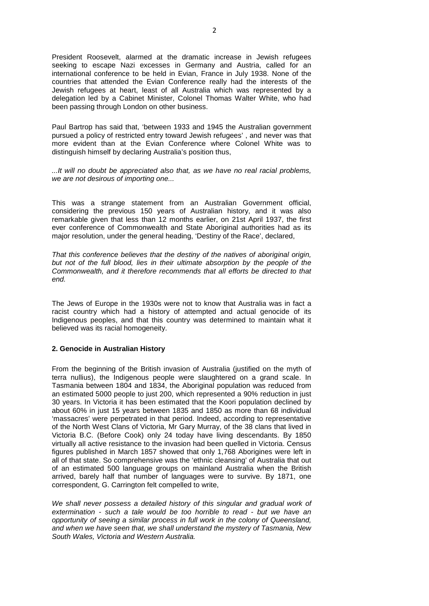President Roosevelt, alarmed at the dramatic increase in Jewish refugees seeking to escape Nazi excesses in Germany and Austria, called for an international conference to be held in Evian, France in July 1938. None of the countries that attended the Evian Conference really had the interests of the Jewish refugees at heart, least of all Australia which was represented by a delegation led by a Cabinet Minister, Colonel Thomas Walter White, who had been passing through London on other business.

Paul Bartrop has said that, 'between 1933 and 1945 the Australian government pursued a policy of restricted entry toward Jewish refugees' , and never was that more evident than at the Evian Conference where Colonel White was to distinguish himself by declaring Australia's position thus,

*...It will no doubt be appreciated also that, as we have no real racial problems, we are not desirous of importing one...*

This was a strange statement from an Australian Government official, considering the previous 150 years of Australian history, and it was also remarkable given that less than 12 months earlier, on 21st April 1937, the first ever conference of Commonwealth and State Aboriginal authorities had as its major resolution, under the general heading, 'Destiny of the Race', declared,

*That this conference believes that the destiny of the natives of aboriginal origin,*  but not of the full blood, lies in their ultimate absorption by the people of the *Commonwealth, and it therefore recommends that all efforts be directed to that end.*

The Jews of Europe in the 1930s were not to know that Australia was in fact a racist country which had a history of attempted and actual genocide of its Indigenous peoples, and that this country was determined to maintain what it believed was its racial homogeneity.

#### **2. Genocide in Australian History**

From the beginning of the British invasion of Australia (justified on the myth of terra nullius), the Indigenous people were slaughtered on a grand scale. In Tasmania between 1804 and 1834, the Aboriginal population was reduced from an estimated 5000 people to just 200, which represented a 90% reduction in just 30 years. In Victoria it has been estimated that the Koori population declined by about 60% in just 15 years between 1835 and 1850 as more than 68 individual 'massacres' were perpetrated in that period. Indeed, according to representative of the North West Clans of Victoria, Mr Gary Murray, of the 38 clans that lived in Victoria B.C. (Before Cook) only 24 today have living descendants. By 1850 virtually all active resistance to the invasion had been quelled in Victoria. Census figures published in March 1857 showed that only 1,768 Aborigines were left in all of that state. So comprehensive was the 'ethnic cleansing' of Australia that out of an estimated 500 language groups on mainland Australia when the British arrived, barely half that number of languages were to survive. By 1871, one correspondent, G. Carrington felt compelled to write,

We shall never possess a detailed history of this singular and gradual work of *extermination - such a tale would be too horrible to read - but we have an opportunity of seeing a similar process in full work in the colony of Queensland, and when we have seen that, we shall understand the mystery of Tasmania, New South Wales, Victoria and Western Australia.*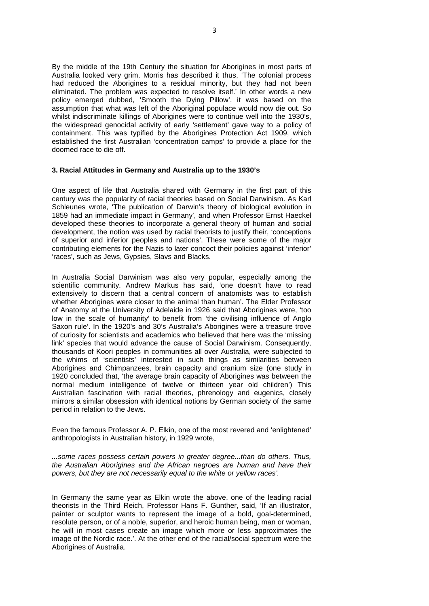By the middle of the 19th Century the situation for Aborigines in most parts of Australia looked very grim. Morris has described it thus, 'The colonial process had reduced the Aborigines to a residual minority, but they had not been eliminated. The problem was expected to resolve itself.' In other words a new policy emerged dubbed, 'Smooth the Dying Pillow', it was based on the assumption that what was left of the Aboriginal populace would now die out. So whilst indiscriminate killings of Aborigines were to continue well into the 1930's, the widespread genocidal activity of early 'settlement' gave way to a policy of containment. This was typified by the Aborigines Protection Act 1909, which established the first Australian 'concentration camps' to provide a place for the doomed race to die off.

# **3. Racial Attitudes in Germany and Australia up to the 1930's**

One aspect of life that Australia shared with Germany in the first part of this century was the popularity of racial theories based on Social Darwinism. As Karl Schleunes wrote, 'The publication of Darwin's theory of biological evolution in 1859 had an immediate impact in Germany', and when Professor Ernst Haeckel developed these theories to incorporate a general theory of human and social development, the notion was used by racial theorists to justify their, 'conceptions of superior and inferior peoples and nations'. These were some of the major contributing elements for the Nazis to later concoct their policies against 'inferior' 'races', such as Jews, Gypsies, Slavs and Blacks.

In Australia Social Darwinism was also very popular, especially among the scientific community. Andrew Markus has said, 'one doesn't have to read extensively to discern that a central concern of anatomists was to establish whether Aborigines were closer to the animal than human'. The Elder Professor of Anatomy at the University of Adelaide in 1926 said that Aborigines were, 'too low in the scale of humanity' to benefit from 'the civilising influence of Anglo Saxon rule'. In the 1920's and 30's Australia's Aborigines were a treasure trove of curiosity for scientists and academics who believed that here was the 'missing link' species that would advance the cause of Social Darwinism. Consequently, thousands of Koori peoples in communities all over Australia, were subjected to the whims of 'scientists' interested in such things as similarities between Aborigines and Chimpanzees, brain capacity and cranium size (one study in 1920 concluded that, 'the average brain capacity of Aborigines was between the normal medium intelligence of twelve or thirteen year old children') This Australian fascination with racial theories, phrenology and eugenics, closely mirrors a similar obsession with identical notions by German society of the same period in relation to the Jews.

Even the famous Professor A. P. Elkin, one of the most revered and 'enlightened' anthropologists in Australian history, in 1929 wrote,

*...some races possess certain powers in greater degree...than do others. Thus, the Australian Aborigines and the African negroes are human and have their powers, but they are not necessarily equal to the white or yellow races'.*

In Germany the same year as Elkin wrote the above, one of the leading racial theorists in the Third Reich, Professor Hans F. Gunther, said, 'If an illustrator, painter or sculptor wants to represent the image of a bold, goal-determined, resolute person, or of a noble, superior, and heroic human being, man or woman, he will in most cases create an image which more or less approximates the image of the Nordic race.'. At the other end of the racial/social spectrum were the Aborigines of Australia.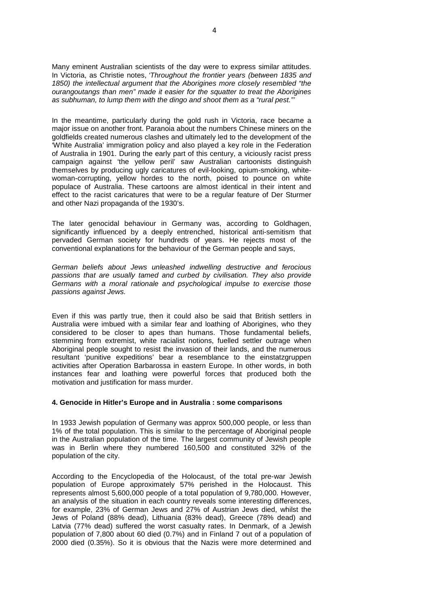Many eminent Australian scientists of the day were to express similar attitudes. In Victoria, as Christie notes, *'Throughout the frontier years (between 1835 and 1850) the intellectual argument that the Aborigines more closely resembled "the ourangoutangs than men" made it easier for the squatter to treat the Aborigines as subhuman, to lump them with the dingo and shoot them as a "rural pest."'*

In the meantime, particularly during the gold rush in Victoria, race became a major issue on another front. Paranoia about the numbers Chinese miners on the goldfields created numerous clashes and ultimately led to the development of the 'White Australia' immigration policy and also played a key role in the Federation of Australia in 1901. During the early part of this century, a viciously racist press campaign against 'the yellow peril' saw Australian cartoonists distinguish themselves by producing ugly caricatures of evil-looking, opium-smoking, whitewoman-corrupting, yellow hordes to the north, poised to pounce on white populace of Australia. These cartoons are almost identical in their intent and effect to the racist caricatures that were to be a regular feature of Der Sturmer and other Nazi propaganda of the 1930's.

The later genocidal behaviour in Germany was, according to Goldhagen, significantly influenced by a deeply entrenched, historical anti-semitism that pervaded German society for hundreds of years. He rejects most of the conventional explanations for the behaviour of the German people and says,

*German beliefs about Jews unleashed indwelling destructive and ferocious passions that are usually tamed and curbed by civilisation. They also provide Germans with a moral rationale and psychological impulse to exercise those passions against Jews.*

Even if this was partly true, then it could also be said that British settlers in Australia were imbued with a similar fear and loathing of Aborigines, who they considered to be closer to apes than humans. Those fundamental beliefs, stemming from extremist, white racialist notions, fuelled settler outrage when Aboriginal people sought to resist the invasion of their lands, and the numerous resultant 'punitive expeditions' bear a resemblance to the einstatzgruppen activities after Operation Barbarossa in eastern Europe. In other words, in both instances fear and loathing were powerful forces that produced both the motivation and justification for mass murder.

#### **4. Genocide in Hitler's Europe and in Australia : some comparisons**

In 1933 Jewish population of Germany was approx 500,000 people, or less than 1% of the total population. This is similar to the percentage of Aboriginal people in the Australian population of the time. The largest community of Jewish people was in Berlin where they numbered 160,500 and constituted 32% of the population of the city.

According to the Encyclopedia of the Holocaust, of the total pre-war Jewish population of Europe approximately 57% perished in the Holocaust. This represents almost 5,600,000 people of a total population of 9,780,000. However, an analysis of the situation in each country reveals some interesting differences, for example, 23% of German Jews and 27% of Austrian Jews died, whilst the Jews of Poland (88% dead), Lithuania (83% dead), Greece (78% dead) and Latvia (77% dead) suffered the worst casualty rates. In Denmark, of a Jewish population of 7,800 about 60 died (0.7%) and in Finland 7 out of a population of 2000 died (0.35%). So it is obvious that the Nazis were more determined and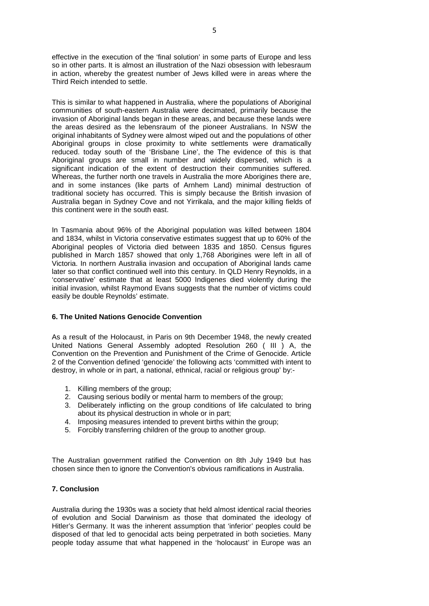effective in the execution of the 'final solution' in some parts of Europe and less so in other parts. It is almost an illustration of the Nazi obsession with lebesraum in action, whereby the greatest number of Jews killed were in areas where the Third Reich intended to settle.

This is similar to what happened in Australia, where the populations of Aboriginal communities of south-eastern Australia were decimated, primarily because the invasion of Aboriginal lands began in these areas, and because these lands were the areas desired as the lebensraum of the pioneer Australians. In NSW the original inhabitants of Sydney were almost wiped out and the populations of other Aboriginal groups in close proximity to white settlements were dramatically reduced. today south of the 'Brisbane Line', the The evidence of this is that Aboriginal groups are small in number and widely dispersed, which is a significant indication of the extent of destruction their communities suffered. Whereas, the further north one travels in Australia the more Aborigines there are, and in some instances (like parts of Arnhem Land) minimal destruction of traditional society has occurred. This is simply because the British invasion of Australia began in Sydney Cove and not Yirrikala, and the major killing fields of this continent were in the south east.

In Tasmania about 96% of the Aboriginal population was killed between 1804 and 1834, whilst in Victoria conservative estimates suggest that up to 60% of the Aboriginal peoples of Victoria died between 1835 and 1850. Census figures published in March 1857 showed that only 1,768 Aborigines were left in all of Victoria. In northern Australia invasion and occupation of Aboriginal lands came later so that conflict continued well into this century. In QLD Henry Reynolds, in a 'conservative' estimate that at least 5000 Indigenes died violently during the initial invasion, whilst Raymond Evans suggests that the number of victims could easily be double Reynolds' estimate.

## **6. The United Nations Genocide Convention**

As a result of the Holocaust, in Paris on 9th December 1948, the newly created United Nations General Assembly adopted Resolution 260 ( III ) A, the Convention on the Prevention and Punishment of the Crime of Genocide. Article 2 of the Convention defined 'genocide' the following acts 'committed with intent to destroy, in whole or in part, a national, ethnical, racial or religious group' by:-

- 1. Killing members of the group;
- 2. Causing serious bodily or mental harm to members of the group;
- 3. Deliberately inflicting on the group conditions of life calculated to bring about its physical destruction in whole or in part;
- 4. Imposing measures intended to prevent births within the group;
- 5. Forcibly transferring children of the group to another group.

The Australian government ratified the Convention on 8th July 1949 but has chosen since then to ignore the Convention's obvious ramifications in Australia.

## **7. Conclusion**

Australia during the 1930s was a society that held almost identical racial theories of evolution and Social Darwinism as those that dominated the ideology of Hitler's Germany. It was the inherent assumption that 'inferior' peoples could be disposed of that led to genocidal acts being perpetrated in both societies. Many people today assume that what happened in the 'holocaust' in Europe was an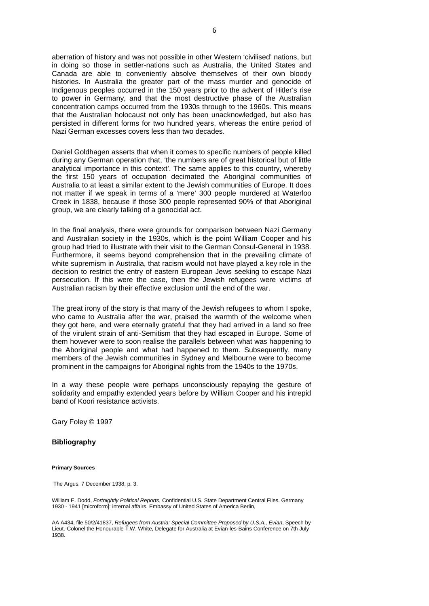aberration of history and was not possible in other Western 'civilised' nations, but in doing so those in settler-nations such as Australia, the United States and Canada are able to conveniently absolve themselves of their own bloody histories. In Australia the greater part of the mass murder and genocide of Indigenous peoples occurred in the 150 years prior to the advent of Hitler's rise to power in Germany, and that the most destructive phase of the Australian concentration camps occurred from the 1930s through to the 1960s. This means that the Australian holocaust not only has been unacknowledged, but also has persisted in different forms for two hundred years, whereas the entire period of Nazi German excesses covers less than two decades.

Daniel Goldhagen asserts that when it comes to specific numbers of people killed during any German operation that, 'the numbers are of great historical but of little analytical importance in this context'. The same applies to this country, whereby the first 150 years of occupation decimated the Aboriginal communities of Australia to at least a similar extent to the Jewish communities of Europe. It does not matter if we speak in terms of a 'mere' 300 people murdered at Waterloo Creek in 1838, because if those 300 people represented 90% of that Aboriginal group, we are clearly talking of a genocidal act.

In the final analysis, there were grounds for comparison between Nazi Germany and Australian society in the 1930s, which is the point William Cooper and his group had tried to illustrate with their visit to the German Consul-General in 1938. Furthermore, it seems beyond comprehension that in the prevailing climate of white supremism in Australia, that racism would not have played a key role in the decision to restrict the entry of eastern European Jews seeking to escape Nazi persecution. If this were the case, then the Jewish refugees were victims of Australian racism by their effective exclusion until the end of the war.

The great irony of the story is that many of the Jewish refugees to whom I spoke, who came to Australia after the war, praised the warmth of the welcome when they got here, and were eternally grateful that they had arrived in a land so free of the virulent strain of anti-Semitism that they had escaped in Europe. Some of them however were to soon realise the parallels between what was happening to the Aboriginal people and what had happened to them. Subsequently, many members of the Jewish communities in Sydney and Melbourne were to become prominent in the campaigns for Aboriginal rights from the 1940s to the 1970s.

In a way these people were perhaps unconsciously repaying the gesture of solidarity and empathy extended years before by William Cooper and his intrepid band of Koori resistance activists.

Gary Foley © 1997

#### **Bibliography**

#### **Primary Sources**

The Argus, 7 December 1938, p. 3.

William E. Dodd, *Fortnightly Political Reports*, Confidential U.S. State Department Central Files. Germany 1930 - 1941 [microform]: internal affairs. Embassy of United States of America Berlin,

AA A434, file 50/2/41837, *Refugees from Austria: Special Committee Proposed by U.S.A., Evian*, Speech by Lieut.-Colonel the Honourable T.W. White, Delegate for Australia at Evian-les-Bains Conference on 7th July 1938.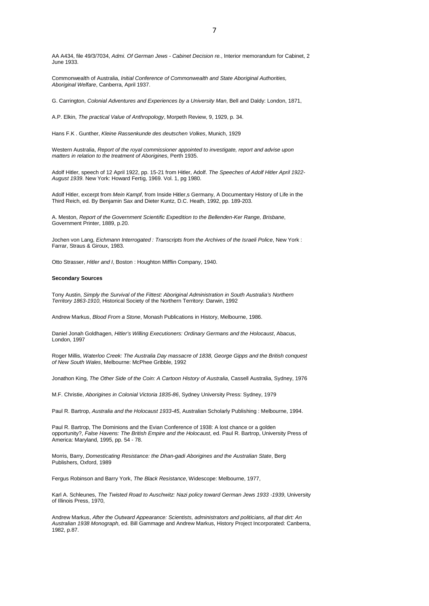AA A434, file 49/3/7034, *Admi. Of German Jews - Cabinet Decision re.*, Interior memorandum for Cabinet, 2 June 1933.

Commonwealth of Australia, *Initial Conference of Commonwealth and State Aboriginal Authorities, Aboriginal Welfare*, Canberra, April 1937.

G. Carrington, *Colonial Adventures and Experiences by a University Man*, Bell and Daldy: London, 1871,

A.P. Elkin, *The practical Value of Anthropology*, Morpeth Review, 9, 1929, p. 34.

Hans F.K . Gunther, *Kleine Rassenkunde des deutschen Volkes*, Munich, 1929

Western Australia, *Report of the royal commissioner appointed to investigate, report and advise upon matters in relation to the treatment of Aborigines*, Perth 1935.

Adolf Hitler, speech of 12 April 1922, pp. 15-21 from Hitler, Adolf. *The Speeches of Adolf Hitler April 1922- August 1939*. New York: Howard Fertig, 1969. Vol. 1, pg 1980.

Adolf Hitler, excerpt from *Mein Kampf*, from Inside Hitler,s Germany, A Documentary History of Life in the Third Reich, ed. By Benjamin Sax and Dieter Kuntz, D.C. Heath, 1992, pp. 189-203.

A. Meston, *Report of the Government Scientific Expedition to the Bellenden-Ker Range, Brisbane*, Government Printer, 1889, p.20.

Jochen von Lang, *Eichmann Interrogated : Transcripts from the Archives of the Israeli Police*, New York : Farrar, Straus & Giroux, 1983.

Otto Strasser, *Hitler and I*, Boston : Houghton Mifflin Company, 1940.

#### **Secondary Sources**

Tony Austin, *Simply the Survival of the Fittest: Aboriginal Administration in South Australia's Northern Territory 1863-1910*, Historical Society of the Northern Territory: Darwin, 1992

Andrew Markus, *Blood From a Stone*, Monash Publications in History, Melbourne, 1986.

Daniel Jonah Goldhagen, *Hitler's Willing Executioners: Ordinary Germans and the Holocaust*, Abacus, London, 1997

Roger Millis, *Waterloo Creek: The Australia Day massacre of 1838, George Gipps and the British conquest of New South Wales*, Melbourne: McPhee Gribble, 1992

Jonathon King, *The Other Side of the Coin: A Cartoon History of Australia*, Cassell Australia, Sydney, 1976

M.F. Christie, *Aborigines in Colonial Victoria 1835-86*, Sydney University Press: Sydney, 1979

Paul R. Bartrop, *Australia and the Holocaust 1933-45*, Australian Scholarly Publishing : Melbourne, 1994.

Paul R. Bartrop, The Dominions and the Evian Conference of 1938: A lost chance or a golden opportunity?, *False Havens: The British Empire and the Holocaust*, ed. Paul R. Bartrop, University Press of America: Maryland, 1995, pp. 54 - 78.

Morris, Barry, *Domesticating Resistance: the Dhan-gadi Aborigines and the Australian State*, Berg Publishers, Oxford, 1989

Fergus Robinson and Barry York, *The Black Resistance*, Widescope: Melbourne, 1977,

Karl A. Schleunes, *The Twisted Road to Auschwitz: Nazi policy toward German Jews 1933 -1939*, University of Illinois Press, 1970,

Andrew Markus, *After the Outward Appearance: Scientists, administrators and politicians, all that dirt: An Australian 1938 Monograph*, ed. Bill Gammage and Andrew Markus, History Project Incorporated: Canberra, 1982, p.87.